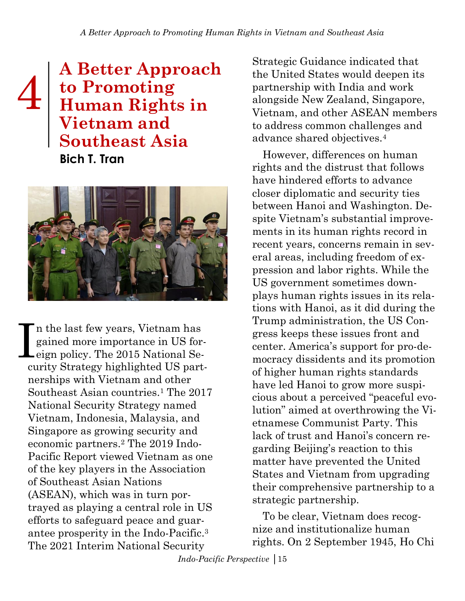**A Better Approach to Promoting Human Rights in Vietnam and Southeast Asia Bich T. Tran**

4



n the last few years, Vietnam has gained more importance in US for-In the last few years, Vietnam has<br>gained more importance in US for<br>eign policy. The 2015 National Security Strategy highlighted US partnerships with Vietnam and other Southeast Asian countries.<sup>1</sup> The 2017 National Security Strategy named Vietnam, Indonesia, Malaysia, and Singapore as growing security and economic partners.<sup>2</sup> The 2019 Indo-Pacific Report viewed Vietnam as one of the key players in the Association of Southeast Asian Nations (ASEAN), which was in turn portrayed as playing a central role in US efforts to safeguard peace and guarantee prosperity in the Indo-Pacific.<sup>3</sup> The 2021 Interim National Security

Strategic Guidance indicated that the United States would deepen its partnership with India and work alongside New Zealand, Singapore, Vietnam, and other ASEAN members to address common challenges and advance shared objectives.<sup>4</sup>

However, differences on human rights and the distrust that follows have hindered efforts to advance closer diplomatic and security ties between Hanoi and Washington. Despite Vietnam's substantial improvements in its human rights record in recent years, concerns remain in several areas, including freedom of expression and labor rights. While the US government sometimes downplays human rights issues in its relations with Hanoi, as it did during the Trump administration, the US Congress keeps these issues front and center. America's support for pro-democracy dissidents and its promotion of higher human rights standards have led Hanoi to grow more suspicious about a perceived "peaceful evolution" aimed at overthrowing the Vietnamese Communist Party. This lack of trust and Hanoi's concern regarding Beijing's reaction to this matter have prevented the United States and Vietnam from upgrading their comprehensive partnership to a strategic partnership.

To be clear, Vietnam does recognize and institutionalize human rights. On 2 September 1945, Ho Chi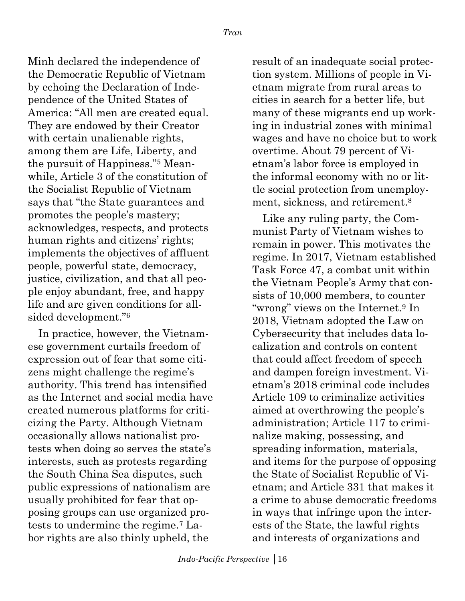Minh declared the independence of the Democratic Republic of Vietnam by echoing the Declaration of Independence of the United States of America: "All men are created equal. They are endowed by their Creator with certain unalienable rights, among them are Life, Liberty, and the pursuit of Happiness."<sup>5</sup> Meanwhile, Article 3 of the constitution of the Socialist Republic of Vietnam says that "the State guarantees and promotes the people's mastery; acknowledges, respects, and protects human rights and citizens' rights; implements the objectives of affluent people, powerful state, democracy, justice, civilization, and that all people enjoy abundant, free, and happy life and are given conditions for allsided development."<sup>6</sup>

In practice, however, the Vietnamese government curtails freedom of expression out of fear that some citizens might challenge the regime's authority. This trend has intensified as the Internet and social media have created numerous platforms for criticizing the Party. Although Vietnam occasionally allows nationalist protests when doing so serves the state's interests, such as protests regarding the South China Sea disputes, such public expressions of nationalism are usually prohibited for fear that opposing groups can use organized protests to undermine the regime.<sup>7</sup> Labor rights are also thinly upheld, the

result of an inadequate social protection system. Millions of people in Vietnam migrate from rural areas to cities in search for a better life, but many of these migrants end up working in industrial zones with minimal wages and have no choice but to work overtime. About 79 percent of Vietnam's labor force is employed in the informal economy with no or little social protection from unemployment, sickness, and retirement.<sup>8</sup>

Like any ruling party, the Communist Party of Vietnam wishes to remain in power. This motivates the regime. In 2017, Vietnam established Task Force 47, a combat unit within the Vietnam People's Army that consists of 10,000 members, to counter "wrong" views on the Internet.<sup>9</sup> In 2018, Vietnam adopted the Law on Cybersecurity that includes data localization and controls on content that could affect freedom of speech and dampen foreign investment. Vietnam's 2018 criminal code includes Article 109 to criminalize activities aimed at overthrowing the people's administration; Article 117 to criminalize making, possessing, and spreading information, materials, and items for the purpose of opposing the State of Socialist Republic of Vietnam; and Article 331 that makes it a crime to abuse democratic freedoms in ways that infringe upon the interests of the State, the lawful rights and interests of organizations and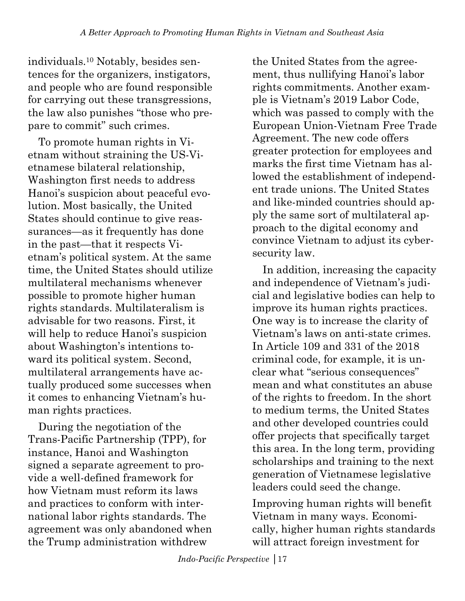individuals.<sup>10</sup> Notably, besides sentences for the organizers, instigators, and people who are found responsible for carrying out these transgressions, the law also punishes "those who prepare to commit" such crimes.

To promote human rights in Vietnam without straining the US-Vietnamese bilateral relationship, Washington first needs to address Hanoi's suspicion about peaceful evolution. Most basically, the United States should continue to give reassurances—as it frequently has done in the past—that it respects Vietnam's political system. At the same time, the United States should utilize multilateral mechanisms whenever possible to promote higher human rights standards. Multilateralism is advisable for two reasons. First, it will help to reduce Hanoi's suspicion about Washington's intentions toward its political system. Second, multilateral arrangements have actually produced some successes when it comes to enhancing Vietnam's human rights practices.

During the negotiation of the Trans-Pacific Partnership (TPP), for instance, Hanoi and Washington signed a separate agreement to provide a well-defined framework for how Vietnam must reform its laws and practices to conform with international labor rights standards. The agreement was only abandoned when the Trump administration withdrew

the United States from the agreement, thus nullifying Hanoi's labor rights commitments. Another example is Vietnam's 2019 Labor Code, which was passed to comply with the European Union-Vietnam Free Trade Agreement. The new code offers greater protection for employees and marks the first time Vietnam has allowed the establishment of independent trade unions. The United States and like-minded countries should apply the same sort of multilateral approach to the digital economy and convince Vietnam to adjust its cybersecurity law.

In addition, increasing the capacity and independence of Vietnam's judicial and legislative bodies can help to improve its human rights practices. One way is to increase the clarity of Vietnam's laws on anti-state crimes. In Article 109 and 331 of the 2018 criminal code, for example, it is unclear what "serious consequences" mean and what constitutes an abuse of the rights to freedom. In the short to medium terms, the United States and other developed countries could offer projects that specifically target this area. In the long term, providing scholarships and training to the next generation of Vietnamese legislative leaders could seed the change.

Improving human rights will benefit Vietnam in many ways. Economically, higher human rights standards will attract foreign investment for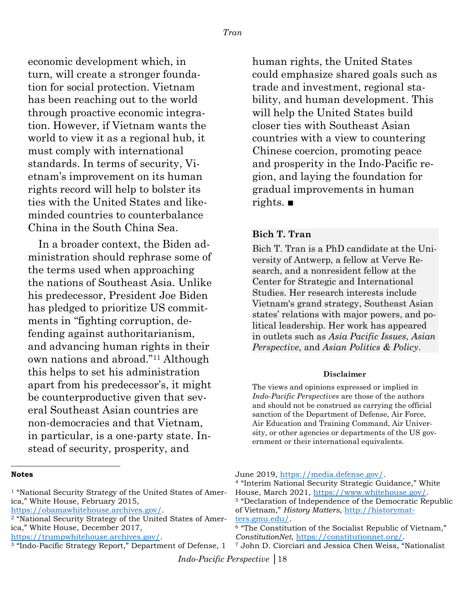economic development which, in turn, will create a stronger foundation for social protection. Vietnam has been reaching out to the world through proactive economic integration. However, if Vietnam wants the world to view it as a regional hub, it must comply with international standards. In terms of security, Vietnam's improvement on its human rights record will help to bolster its ties with the United States and likeminded countries to counterbalance China in the South China Sea.

In a broader context, the Biden administration should rephrase some of the terms used when approaching the nations of Southeast Asia. Unlike his predecessor, President Joe Biden has pledged to prioritize US commitments in "fighting corruption, defending against authoritarianism, and advancing human rights in their own nations and abroad." <sup>11</sup> Although this helps to set his administration apart from his predecessor's, it might be counterproductive given that several Southeast Asian countries are non-democracies and that Vietnam, in particular, is a one-party state. Instead of security, prosperity, and

## **Notes**

human rights, the United States could emphasize shared goals such as trade and investment, regional stability, and human development. This will help the United States build closer ties with Southeast Asian countries with a view to countering Chinese coercion, promoting peace and prosperity in the Indo-Pacific region, and laying the foundation for gradual improvements in human rights. ■

## **Bich T. Tran**

Bich T. Tran is a PhD candidate at the University of Antwerp, a fellow at Verve Research, and a nonresident fellow at the Center for Strategic and International Studies. Her research interests include Vietnam's grand strategy, Southeast Asian states' relations with major powers, and political leadership. Her work has appeared in outlets such as *Asia Pacific Issues*, *Asian Perspective*, and *Asian Politics & Policy*.

## **Disclaimer**

The views and opinions expressed or implied in *Indo-Pacific Perspectives* are those of the authors and should not be construed as carrying the official sanction of the Department of Defense, Air Force, Air Education and Training Command, Air University, or other agencies or departments of the US government or their international equivalents.

<sup>1</sup> "National Security Strategy of the United States of America," White House, February 2015,

[https://obamawhitehouse.archives.gov/.](https://obamawhitehouse.archives.gov/sites/default/files/docs/2015_national_security_strategy_2.pdf)

<sup>2</sup> "National Security Strategy of the United States of America," White House, December 2017,

[https://trumpwhitehouse.archives.gov/.](https://trumpwhitehouse.archives.gov/wp-content/uploads/2017/12/NSS-Final-12-18-2017-0905.pdf)

<sup>3</sup> "Indo-Pacific Strategy Report," Department of Defense, 1

June 2019, [https://media.defense.gov/.](https://media.defense.gov/2019/Jul/01/2002152311/-1/-1/1/DEPARTMENT-OF-DEFENSE-INDO-PACIFIC-STRATEGY-REPORT-2019.PDF)

<sup>4</sup> "Interim National Security Strategic Guidance," White House, March 2021, [https://www.whitehouse.gov/.](https://www.whitehouse.gov/wp-content/uploads/2021/03/NSC-1v2.pdf)

<sup>5</sup> "Declaration of Independence of the Democratic Republic of Vietnam," *History Matters*, [http://historymat](http://historymatters.gmu.edu/d/5139/)[ters.gmu.edu/.](http://historymatters.gmu.edu/d/5139/)

<sup>6</sup> "The Constitution of the Socialist Republic of Vietnam," *ConstitutionNet*, [https://constitutionnet.org/.](https://constitutionnet.org/sites/default/files/tranlation_of_vietnams_new_constitution_enuk_2.pdf)

<sup>7</sup> John D. Ciorciari and Jessica Chen Weiss, "Nationalist